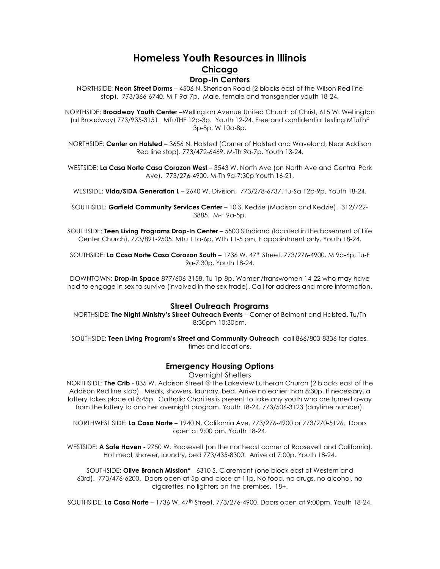# **Homeless Youth Resources in Illinois Chicago Drop-In Centers**

NORTHSIDE: **Neon Street Dorms** – 4506 N. Sheridan Road (2 blocks east of the Wilson Red line stop). 773/366-6740. M-F 9a-7p. Male, female and transgender youth 18-24.

NORTHSIDE: **Broadway Youth Center** –Wellington Avenue United Church of Christ, 615 W. Wellington (at Broadway) 773/935-3151. MTuTHF 12p-3p. Youth 12-24. Free and confidential testing MTuThF 3p-8p, W 10a-8p.

NORTHSIDE: **Center on Halsted** – 3656 N. Halsted (Corner of Halsted and Waveland, Near Addison Red line stop). 773/472-6469. M-Th 9a-7p. Youth 13-24.

WESTSIDE: **La Casa Norte Casa Corazon West** – 3543 W. North Ave (on North Ave and Central Park Ave). 773/276-4900. M-Th 9a-7:30p Youth 16-21.

WESTSIDE: **Vida/SIDA Generation L** – 2640 W. Division. 773/278-6737. Tu-Sa 12p-9p. Youth 18-24.

SOUTHSIDE: **Garfield Community Services Center** – 10 S. Kedzie (Madison and Kedzie). 312/722- 3885. M-F 9a-5p.

SOUTHSIDE: **Teen Living Programs Drop-In Center** – 5500 S Indiana (located in the basement of Life Center Church). 773/891-2505. MTu 11a-6p, WTh 11-5 pm, F appointment only. Youth 18-24.

SOUTHSIDE: **La Casa Norte Casa Corazon South** – 1736 W. 47th Street. 773/276-4900. M 9a-6p, Tu-F 9a-7:30p. Youth 18-24.

DOWNTOWN: **Drop-In Space** 877/606-3158. Tu 1p-8p. Women/transwomen 14-22 who may have had to engage in sex to survive (involved in the sex trade). Call for address and more information.

### **Street Outreach Programs**

NORTHSIDE: **The Night Ministry's Street Outreach Events** – Corner of Belmont and Halsted. Tu/Th 8:30pm-10:30pm.

SOUTHSIDE: **Teen Living Program's Street and Community Outreach**- call 866/803-8336 for dates, times and locations.

### **Emergency Housing Options**

Overnight Shelters

NORTHSIDE: **The Crib** - 835 W. Addison Street @ the Lakeview Lutheran Church (2 blocks east of the Addison Red line stop). Meals, showers, laundry, bed. Arrive no earlier than 8:30p. If necessary, a lottery takes place at 8:45p. Catholic Charities is present to take any youth who are turned away from the lottery to another overnight program. Youth 18-24. 773/506-3123 (daytime number).

NORTHWEST SIDE: **La Casa Norte** – 1940 N. California Ave. 773/276-4900 or 773/270-5126. Doors open at 9:00 pm. Youth 18-24.

WESTSIDE: **A Safe Haven** - 2750 W. Roosevelt (on the northeast corner of Roosevelt and California). Hot meal, shower, laundry, bed 773/435-8300. Arrive at 7:00p. Youth 18-24.

SOUTHSIDE: **Olive Branch Mission\*** - 6310 S. Claremont (one block east of Western and 63rd). 773/476-6200. Doors open at 5p and close at 11p. No food, no drugs, no alcohol, no cigarettes, no lighters on the premises. 18+.

SOUTHSIDE: **La Casa Norte** – 1736 W. 47th Street. 773/276-4900. Doors open at 9:00pm. Youth 18-24.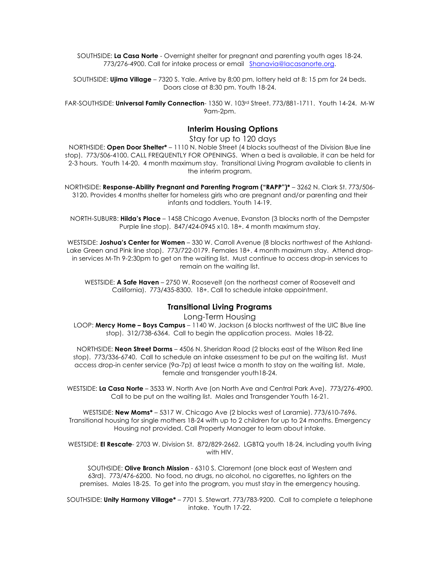SOUTHSIDE: **La Casa Norte** - Overnight shelter for pregnant and parenting youth ages 18-24. 773/276-4900. Call for intake process or email Shanavia@lacasanorte.org.

SOUTHSIDE: **Ujima Village** – 7320 S. Yale. Arrive by 8;00 pm, lottery held at 8: 15 pm for 24 beds. Doors close at 8:30 pm. Youth 18-24.

FAR-SOUTHSIDE: **Universal Family Connection**- 1350 W. 103rd Street. 773/881-1711. Youth 14-24. M-W 9am-2pm.

### **Interim Housing Options**

Stay for up to 120 days

NORTHSIDE: **Open Door Shelter\*** – 1110 N. Noble Street (4 blocks southeast of the Division Blue line stop). 773/506-4100. CALL FREQUENTLY FOR OPENINGS. When a bed is available, it can be held for 2-3 hours. Youth 14-20. 4 month maximum stay. Transitional Living Program available to clients in the interim program.

NORTHSIDE: **Response-Ability Pregnant and Parenting Program ("RAPP")\*** – 3262 N. Clark St. 773/506- 3120. Provides 4 months shelter for homeless girls who are pregnant and/or parenting and their infants and toddlers. Youth 14-19.

NORTH-SUBURB: **Hilda's Place** – 1458 Chicago Avenue, Evanston (3 blocks north of the Dempster Purple line stop). 847/424-0945 x10. 18+. 4 month maximum stay.

WESTSIDE: **Joshua's Center for Women** – 330 W. Carroll Avenue (8 blocks northwest of the Ashland-Lake Green and Pink line stop). 773/722-0179. Females 18+. 4 month maximum stay. Attend dropin services M-Th 9-2:30pm to get on the waiting list. Must continue to access drop-in services to remain on the waiting list.

WESTSIDE: **A Safe Haven** – 2750 W. Roosevelt (on the northeast corner of Roosevelt and California). 773/435-8300. 18+. Call to schedule intake appointment.

### **Transitional Living Programs**

Long-Term Housing

LOOP: **Mercy Home – Boys Campus** – 1140 W. Jackson (6 blocks northwest of the UIC Blue line stop). 312/738-6364. Call to begin the application process. Males 18-22.

NORTHSIDE: **Neon Street Dorms** – 4506 N. Sheridan Road (2 blocks east of the Wilson Red line stop). 773/336-6740. Call to schedule an intake assessment to be put on the waiting list. Must access drop-in center service (9a-7p) at least twice a month to stay on the waiting list. Male, female and transgender youth18-24.

WESTSIDE: **La Casa Norte** – 3533 W. North Ave (on North Ave and Central Park Ave). 773/276-4900. Call to be put on the waiting list. Males and Transgender Youth 16-21.

WESTSIDE: **New Moms\*** – 5317 W. Chicago Ave (2 blocks west of Laramie). 773/610-7696. Transitional housing for single mothers 18-24 with up to 2 children for up to 24 months. Emergency Housing not provided. Call Property Manager to learn about intake.

WESTSIDE: **El Rescate**- 2703 W. Division St. 872/829-2662. LGBTQ youth 18-24, including youth living with HIV.

SOUTHSIDE: **Olive Branch Mission** - 6310 S. Claremont (one block east of Western and 63rd). 773/476-6200. No food, no drugs, no alcohol, no cigarettes, no lighters on the premises. Males 18-25. To get into the program, you must stay in the emergency housing.

SOUTHSIDE: **Unity Harmony Village\*** – 7701 S. Stewart. 773/783-9200. Call to complete a telephone intake. Youth 17-22.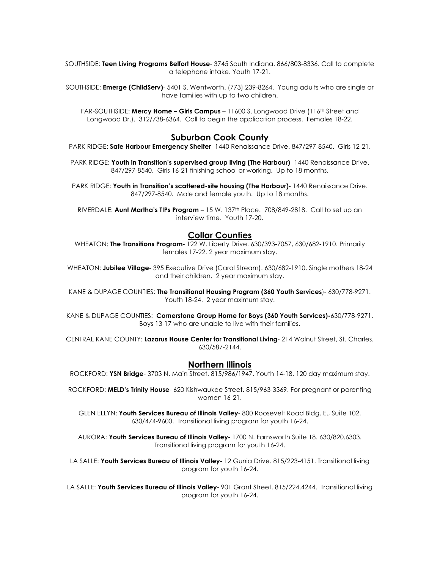SOUTHSIDE: **Teen Living Programs Belfort House**- 3745 South Indiana. 866/803-8336. Call to complete a telephone intake. Youth 17-21.

SOUTHSIDE: **Emerge (ChildServ)**- 5401 S. Wentworth. (773) 239-8264. Young adults who are single or have families with up to two children.

FAR-SOUTHSIDE: **Mercy Home – Girls Campus** – 11600 S. Longwood Drive (116<sup>th</sup> Street and Longwood Dr.). 312/738-6364. Call to begin the application process. Females 18-22.

### **Suburban Cook County**

PARK RIDGE: **Safe Harbour Emergency Shelter**- 1440 Renaissance Drive. 847/297-8540. Girls 12-21.

PARK RIDGE: **Youth in Transition's supervised group living (The Harbour)**- 1440 Renaissance Drive. 847/297-8540. Girls 16-21 finishing school or working. Up to 18 months.

PARK RIDGE: Youth in Transition's scattered-site housing (The Harbour)- 1440 Renaissance Drive. 847/297-8540. Male and female youth. Up to 18 months.

RIVERDALE: **Aunt Martha's TIPs Program** – 15 W. 137th Place. 708/849-2818. Call to set up an interview time. Youth 17-20.

# **Collar Counties**

WHEATON: **The Transitions Program**- 122 W. Liberty Drive. 630/393-7057, 630/682-1910. Primarily females 17-22. 2 year maximum stay.

WHEATON: **Jubilee Village**- 395 Executive Drive (Carol Stream). 630/682-1910. Single mothers 18-24 and their children. 2 year maximum stay.

KANE & DUPAGE COUNTIES: **The Transitional Housing Program (360 Youth Services**)- 630/778-9271. Youth 18-24. 2 year maximum stay.

KANE & DUPAGE COUNTIES: **Cornerstone Group Home for Boys (360 Youth Services)-**630/778-9271. Boys 13-17 who are unable to live with their families.

CENTRAL KANE COUNTY: **Lazarus House Center for Transitional Living**- 214 Walnut Street, St. Charles. 630/587-2144.

### **Northern Illinois**

ROCKFORD: **YSN Bridge**- 3703 N. Main Street. 815/986/1947. Youth 14-18. 120 day maximum stay.

ROCKFORD: **MELD's Trinity House**- 620 Kishwaukee Street. 815/963-3369. For pregnant or parenting women 16-21.

GLEN ELLYN: **Youth Services Bureau of Illinois Valley**- 800 Roosevelt Road Bldg. E., Suite 102. 630/474-9600. Transitional living program for youth 16-24.

AURORA: **Youth Services Bureau of Illinois Valley**- 1700 N. Farnsworth Suite 18. 630/820.6303. Transitional living program for youth 16-24.

LA SALLE: **Youth Services Bureau of Illinois Valley**- 12 Gunia Drive. 815/223-4151. Transitional living program for youth 16-24.

LA SALLE: **Youth Services Bureau of Illinois Valley**- 901 Grant Street. 815/224.4244. Transitional living program for youth 16-24.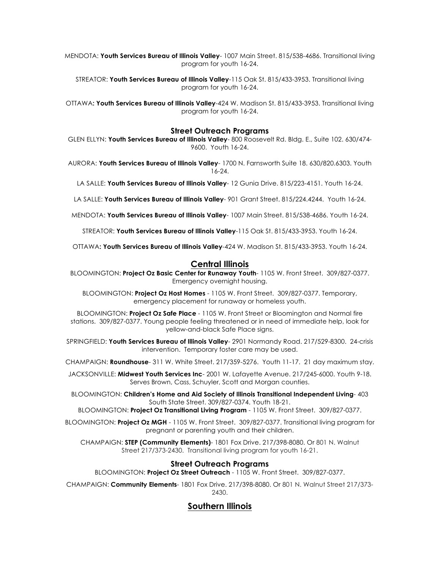MENDOTA: **Youth Services Bureau of Illinois Valley**- 1007 Main Street. 815/538-4686. Transitional living program for youth 16-24.

STREATOR: **Youth Services Bureau of Illinois Valley**-115 Oak St. 815/433-3953. Transitional living program for youth 16-24.

OTTAWA**: Youth Services Bureau of Illinois Valley**-424 W. Madison St. 815/433-3953. Transitional living program for youth 16-24.

#### **Street Outreach Programs**

GLEN ELLYN: **Youth Services Bureau of Illinois Valley**- 800 Roosevelt Rd. Bldg. E., Suite 102. 630/474- 9600. Youth 16-24.

AURORA: **Youth Services Bureau of Illinois Valley**- 1700 N. Farnsworth Suite 18. 630/820.6303. Youth 16-24.

LA SALLE: **Youth Services Bureau of Illinois Valley**- 12 Gunia Drive. 815/223-4151. Youth 16-24.

LA SALLE: **Youth Services Bureau of Illinois Valley**- 901 Grant Street. 815/224.4244. Youth 16-24.

MENDOTA: **Youth Services Bureau of Illinois Valley**- 1007 Main Street. 815/538-4686. Youth 16-24.

STREATOR: **Youth Services Bureau of Illinois Valley**-115 Oak St. 815/433-3953. Youth 16-24.

OTTAWA**: Youth Services Bureau of Illinois Valley**-424 W. Madison St. 815/433-3953. Youth 16-24.

# **Central Illinois**

BLOOMINGTON: **Project Oz Basic Center for Runaway Youth**- 1105 W. Front Street. 309/827-0377. Emergency overnight housing.

BLOOMINGTON: **Project Oz Host Homes** - 1105 W. Front Street. 309/827-0377. Temporary, emergency placement for runaway or homeless youth.

BLOOMINGTON: **Project Oz Safe Place** - 1105 W. Front Street or Bloomington and Normal fire stations. 309/827-0377. Young people feeling threatened or in need of immediate help, look for yellow-and-black Safe Place signs.

SPRINGFIELD: **Youth Services Bureau of Illinois Valley**- 2901 Normandy Road. 217/529-8300. 24-crisis intervention. Temporary foster care may be used.

CHAMPAIGN: **Roundhouse**- 311 W. White Street. 217/359-5276. Youth 11-17. 21 day maximum stay.

JACKSONVILLE: **Midwest Youth Services Inc**- 2001 W. Lafayette Avenue. 217/245-6000. Youth 9-18. Serves Brown, Cass, Schuyler, Scott and Morgan counties.

BLOOMINGTON: **Children's Home and Aid Society of Illinois Transitional Independent Living**- 403 South State Street. 309/827-0374. Youth 18-21.

BLOOMINGTON: **Project Oz Transitional Living Program** - 1105 W. Front Street. 309/827-0377.

BLOOMINGTON: **Project Oz MGH** - 1105 W. Front Street. 309/827-0377. Transitional living program for pregnant or parenting youth and their children.

CHAMPAIGN: **STEP (Community Elements)**- 1801 Fox Drive. 217/398-8080. Or 801 N. Walnut Street 217/373-2430. Transitional living program for youth 16-21.

### **Street Outreach Programs**

BLOOMINGTON: **Project Oz Street Outreach** - 1105 W. Front Street. 309/827-0377.

CHAMPAIGN: **Community Elements**- 1801 Fox Drive. 217/398-8080. Or 801 N. Walnut Street 217/373- 2430.

# **Southern Illinois**